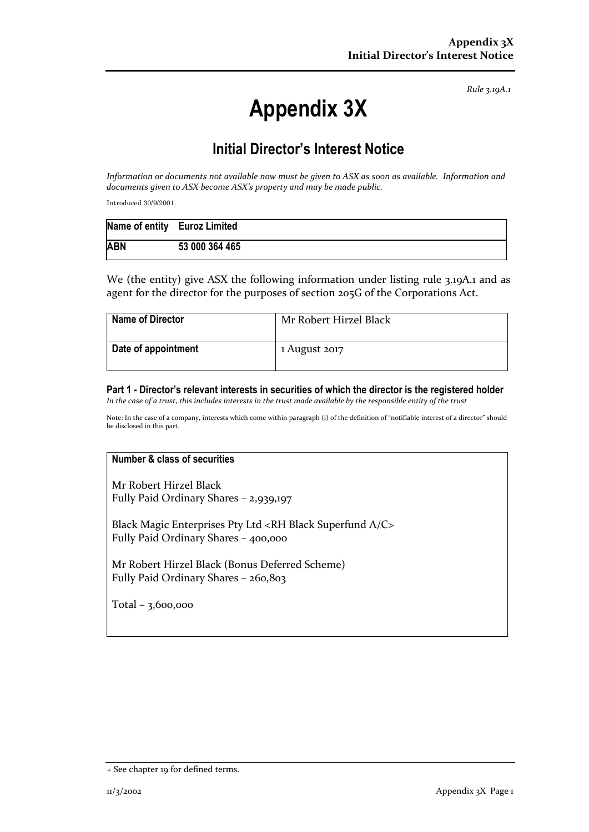*Rule 3.19A.1*

# **Appendix 3X**

## **Initial Director's Interest Notice**

*Information or documents not available now must be given to ASX as soon as available. Information and documents given to ASX become ASX's property and may be made public.*

Introduced 30/9/2001.

|            | Name of entity Euroz Limited |
|------------|------------------------------|
| <b>ABN</b> | 53 000 364 465               |

We (the entity) give ASX the following information under listing rule 3.19A.1 and as agent for the director for the purposes of section 205G of the Corporations Act.

| <b>Name of Director</b> | Mr Robert Hirzel Black |
|-------------------------|------------------------|
| Date of appointment     | 1 August 2017          |

#### **Part 1 - Director's relevant interests in securities of which the director is the registered holder** *In the case of a trust, this includes interests in the trust made available by the responsible entity of the trust*

Note: In the case of a company, interests which come within paragraph (i) of the definition of "notifiable interest of a director" should be disclosed in this part.

### **Number & class of securities**

Mr Robert Hirzel Black Fully Paid Ordinary Shares - 2,939,197

Black Magic Enterprises Pty Ltd <RH Black Superfund A/C> Fully Paid Ordinary Shares – 400,000

Mr Robert Hirzel Black (Bonus Deferred Scheme) Fully Paid Ordinary Shares – 260,803

Total – 3,600,000

<sup>+</sup> See chapter 19 for defined terms.